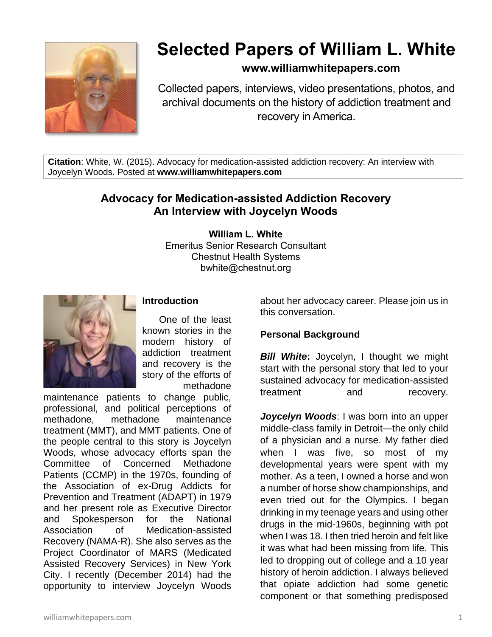

# **Selected Papers of William L. White**

## **www.williamwhitepapers.com**

Collected papers, interviews, video presentations, photos, and archival documents on the history of addiction treatment and recovery in America.

**Citation**: White, W. (2015). Advocacy for medication-assisted addiction recovery: An interview with Joycelyn Woods. Posted at **www.williamwhitepapers.com**

# **Advocacy for Medication-assisted Addiction Recovery An Interview with Joycelyn Woods**

**William L. White** Emeritus Senior Research Consultant Chestnut Health Systems bwhite@chestnut.org



#### **Introduction**

One of the least known stories in the modern history of addiction treatment and recovery is the story of the efforts of methadone

maintenance patients to change public, professional, and political perceptions of methadone, methadone maintenance treatment (MMT), and MMT patients. One of the people central to this story is Joycelyn Woods, whose advocacy efforts span the Committee of Concerned Methadone Patients (CCMP) in the 1970s, founding of the Association of ex-Drug Addicts for Prevention and Treatment (ADAPT) in 1979 and her present role as Executive Director and Spokesperson for the National Association of Medication-assisted Recovery (NAMA-R). She also serves as the Project Coordinator of MARS (Medicated Assisted Recovery Services) in New York City. I recently (December 2014) had the opportunity to interview Joycelyn Woods

about her advocacy career. Please join us in this conversation.

#### **Personal Background**

*Bill White***:** Joycelyn, I thought we might start with the personal story that led to your sustained advocacy for medication-assisted treatment and recovery.

*Joycelyn Woods*: I was born into an upper middle-class family in Detroit—the only child of a physician and a nurse. My father died when I was five, so most of my developmental years were spent with my mother. As a teen, I owned a horse and won a number of horse show championships, and even tried out for the Olympics. I began drinking in my teenage years and using other drugs in the mid-1960s, beginning with pot when I was 18. I then tried heroin and felt like it was what had been missing from life. This led to dropping out of college and a 10 year history of heroin addiction. I always believed that opiate addiction had some genetic component or that something predisposed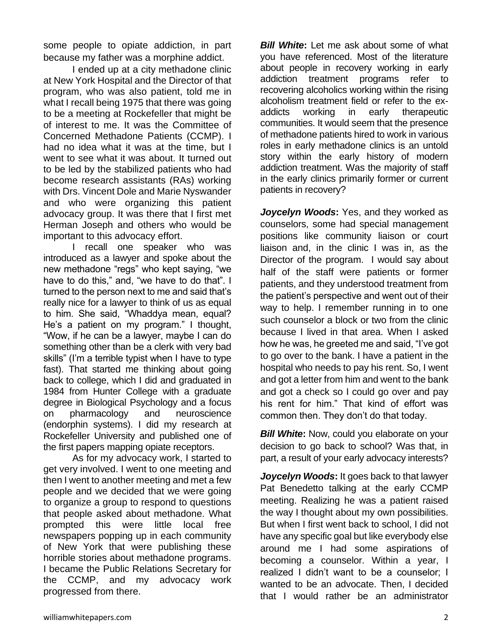some people to opiate addiction, in part because my father was a morphine addict.

I ended up at a city methadone clinic at New York Hospital and the Director of that program, who was also patient, told me in what I recall being 1975 that there was going to be a meeting at Rockefeller that might be of interest to me. It was the Committee of Concerned Methadone Patients (CCMP). I had no idea what it was at the time, but I went to see what it was about. It turned out to be led by the stabilized patients who had become research assistants (RAs) working with Drs. Vincent Dole and Marie Nyswander and who were organizing this patient advocacy group. It was there that I first met Herman Joseph and others who would be important to this advocacy effort.

I recall one speaker who was introduced as a lawyer and spoke about the new methadone "regs" who kept saying, "we have to do this," and, "we have to do that". I turned to the person next to me and said that's really nice for a lawyer to think of us as equal to him. She said, "Whaddya mean, equal? He's a patient on my program." I thought, "Wow, if he can be a lawyer, maybe I can do something other than be a clerk with very bad skills" (I'm a terrible typist when I have to type fast). That started me thinking about going back to college, which I did and graduated in 1984 from Hunter College with a graduate degree in Biological Psychology and a focus on pharmacology and neuroscience (endorphin systems). I did my research at Rockefeller University and published one of the first papers mapping opiate receptors.

As for my advocacy work, I started to get very involved. I went to one meeting and then I went to another meeting and met a few people and we decided that we were going to organize a group to respond to questions that people asked about methadone. What prompted this were little local free newspapers popping up in each community of New York that were publishing these horrible stories about methadone programs. I became the Public Relations Secretary for the CCMP, and my advocacy work progressed from there.

*Bill White***:** Let me ask about some of what you have referenced. Most of the literature about people in recovery working in early addiction treatment programs refer to recovering alcoholics working within the rising alcoholism treatment field or refer to the exaddicts working in early therapeutic communities. It would seem that the presence of methadone patients hired to work in various roles in early methadone clinics is an untold story within the early history of modern addiction treatment. Was the majority of staff in the early clinics primarily former or current patients in recovery?

*Joycelyn Woods***:** Yes, and they worked as counselors, some had special management positions like community liaison or court liaison and, in the clinic I was in, as the Director of the program. I would say about half of the staff were patients or former patients, and they understood treatment from the patient's perspective and went out of their way to help. I remember running in to one such counselor a block or two from the clinic because I lived in that area. When I asked how he was, he greeted me and said, "I've got to go over to the bank. I have a patient in the hospital who needs to pay his rent. So, I went and got a letter from him and went to the bank and got a check so I could go over and pay his rent for him." That kind of effort was common then. They don't do that today.

*Bill White:* Now, could you elaborate on your decision to go back to school? Was that, in part, a result of your early advocacy interests?

*Joycelyn Woods***:** It goes back to that lawyer Pat Benedetto talking at the early CCMP meeting. Realizing he was a patient raised the way I thought about my own possibilities. But when I first went back to school, I did not have any specific goal but like everybody else around me I had some aspirations of becoming a counselor. Within a year, I realized I didn't want to be a counselor; I wanted to be an advocate. Then, I decided that I would rather be an administrator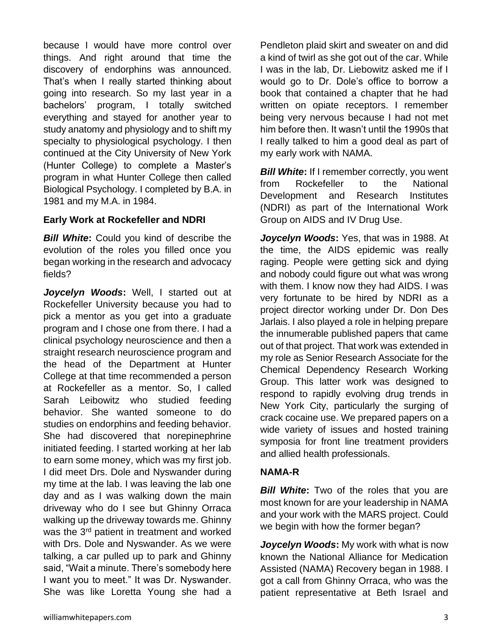because I would have more control over things. And right around that time the discovery of endorphins was announced. That's when I really started thinking about going into research. So my last year in a bachelors' program, I totally switched everything and stayed for another year to study anatomy and physiology and to shift my specialty to physiological psychology. I then continued at the City University of New York (Hunter College) to complete a Master's program in what Hunter College then called Biological Psychology. I completed by B.A. in 1981 and my M.A. in 1984.

#### **Early Work at Rockefeller and NDRI**

*Bill White***:** Could you kind of describe the evolution of the roles you filled once you began working in the research and advocacy fields?

*Joycelyn Woods***:** Well, I started out at Rockefeller University because you had to pick a mentor as you get into a graduate program and I chose one from there. I had a clinical psychology neuroscience and then a straight research neuroscience program and the head of the Department at Hunter College at that time recommended a person at Rockefeller as a mentor. So, I called Sarah Leibowitz who studied feeding behavior. She wanted someone to do studies on endorphins and feeding behavior. She had discovered that norepinephrine initiated feeding. I started working at her lab to earn some money, which was my first job. I did meet Drs. Dole and Nyswander during my time at the lab. I was leaving the lab one day and as I was walking down the main driveway who do I see but Ghinny Orraca walking up the driveway towards me. Ghinny was the 3<sup>rd</sup> patient in treatment and worked with Drs. Dole and Nyswander. As we were talking, a car pulled up to park and Ghinny said, "Wait a minute. There's somebody here I want you to meet." It was Dr. Nyswander. She was like Loretta Young she had a

Pendleton plaid skirt and sweater on and did a kind of twirl as she got out of the car. While I was in the lab, Dr. Liebowitz asked me if I would go to Dr. Dole's office to borrow a book that contained a chapter that he had written on opiate receptors. I remember being very nervous because I had not met him before then. It wasn't until the 1990s that I really talked to him a good deal as part of my early work with NAMA.

**Bill White:** If I remember correctly, you went from Rockefeller to the National Development and Research Institutes (NDRI) as part of the International Work Group on AIDS and IV Drug Use.

*Joycelyn Woods***:** Yes, that was in 1988. At the time, the AIDS epidemic was really raging. People were getting sick and dying and nobody could figure out what was wrong with them. I know now they had AIDS. I was very fortunate to be hired by NDRI as a project director working under Dr. Don Des Jarlais. I also played a role in helping prepare the innumerable published papers that came out of that project. That work was extended in my role as Senior Research Associate for the Chemical Dependency Research Working Group. This latter work was designed to respond to rapidly evolving drug trends in New York City, particularly the surging of crack cocaine use. We prepared papers on a wide variety of issues and hosted training symposia for front line treatment providers and allied health professionals.

#### **NAMA-R**

**Bill White:** Two of the roles that you are most known for are your leadership in NAMA and your work with the MARS project. Could we begin with how the former began?

*Joycelyn Woods***:** My work with what is now known the National Alliance for Medication Assisted (NAMA) Recovery began in 1988. I got a call from Ghinny Orraca, who was the patient representative at Beth Israel and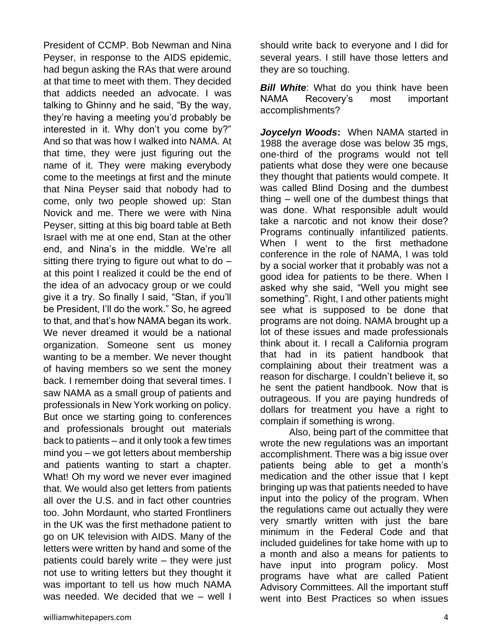President of CCMP. Bob Newman and Nina Peyser, in response to the AIDS epidemic, had begun asking the RAs that were around at that time to meet with them. They decided that addicts needed an advocate. I was talking to Ghinny and he said, "By the way, they're having a meeting you'd probably be interested in it. Why don't you come by?" And so that was how I walked into NAMA. At that time, they were just figuring out the name of it. They were making everybody come to the meetings at first and the minute that Nina Peyser said that nobody had to come, only two people showed up: Stan Novick and me. There we were with Nina Peyser, sitting at this big board table at Beth Israel with me at one end, Stan at the other end, and Nina's in the middle. We're all sitting there trying to figure out what to do  $$ at this point I realized it could be the end of the idea of an advocacy group or we could give it a try. So finally I said, "Stan, if you'll be President, I'll do the work." So, he agreed to that, and that's how NAMA began its work. We never dreamed it would be a national organization. Someone sent us money wanting to be a member. We never thought of having members so we sent the money back. I remember doing that several times. I saw NAMA as a small group of patients and professionals in New York working on policy. But once we starting going to conferences and professionals brought out materials back to patients – and it only took a few times mind you – we got letters about membership and patients wanting to start a chapter. What! Oh my word we never ever imagined that. We would also get letters from patients all over the U.S. and in fact other countries too. John Mordaunt, who started Frontliners in the UK was the first methadone patient to go on UK television with AIDS. Many of the letters were written by hand and some of the patients could barely write – they were just not use to writing letters but they thought it was important to tell us how much NAMA was needed. We decided that we – well I

should write back to everyone and I did for several years. I still have those letters and they are so touching.

*Bill White*: What do you think have been NAMA Recovery's most important accomplishments?

*Joycelyn Woods***:** When NAMA started in 1988 the average dose was below 35 mgs, one-third of the programs would not tell patients what dose they were one because they thought that patients would compete. It was called Blind Dosing and the dumbest thing – well one of the dumbest things that was done. What responsible adult would take a narcotic and not know their dose? Programs continually infantilized patients. When I went to the first methadone conference in the role of NAMA, I was told by a social worker that it probably was not a good idea for patients to be there. When I asked why she said, "Well you might see something". Right, I and other patients might see what is supposed to be done that programs are not doing. NAMA brought up a lot of these issues and made professionals think about it. I recall a California program that had in its patient handbook that complaining about their treatment was a reason for discharge. I couldn't believe it, so he sent the patient handbook. Now that is outrageous. If you are paying hundreds of dollars for treatment you have a right to complain if something is wrong.

Also, being part of the committee that wrote the new regulations was an important accomplishment. There was a big issue over patients being able to get a month's medication and the other issue that I kept bringing up was that patients needed to have input into the policy of the program. When the regulations came out actually they were very smartly written with just the bare minimum in the Federal Code and that included guidelines for take home with up to a month and also a means for patients to have input into program policy. Most programs have what are called Patient Advisory Committees. All the important stuff went into Best Practices so when issues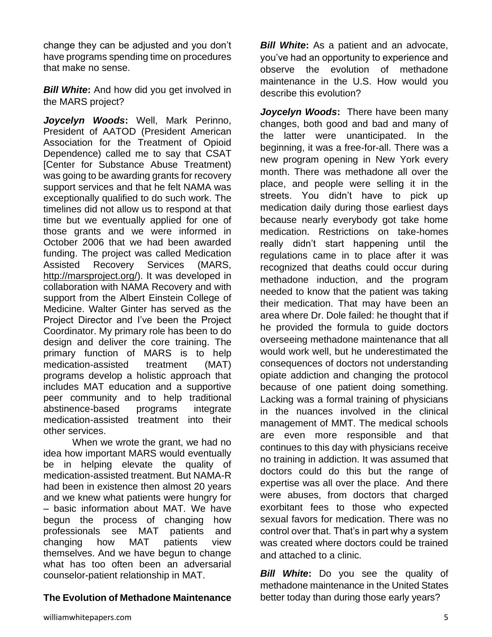change they can be adjusted and you don't have programs spending time on procedures that make no sense.

*Bill White***:** And how did you get involved in the MARS project?

*Joycelyn Woods***:** Well, Mark Perinno, President of AATOD (President American Association for the Treatment of Opioid Dependence) called me to say that CSAT [Center for Substance Abuse Treatment) was going to be awarding grants for recovery support services and that he felt NAMA was exceptionally qualified to do such work. The timelines did not allow us to respond at that time but we eventually applied for one of those grants and we were informed in October 2006 that we had been awarded funding. The project was called Medication Assisted Recovery Services (MARS, [http://marsproject.org/\)](http://marsproject.org/). It was developed in collaboration with NAMA Recovery and with support from the Albert Einstein College of Medicine. Walter Ginter has served as the Project Director and I've been the Project Coordinator. My primary role has been to do design and deliver the core training. The primary function of MARS is to help medication-assisted treatment (MAT) programs develop a holistic approach that includes MAT education and a supportive peer community and to help traditional abstinence-based programs integrate medication-assisted treatment into their other services.

When we wrote the grant, we had no idea how important MARS would eventually be in helping elevate the quality of medication-assisted treatment. But NAMA-R had been in existence then almost 20 years and we knew what patients were hungry for – basic information about MAT. We have begun the process of changing how professionals see MAT patients and changing how MAT patients view themselves. And we have begun to change what has too often been an adversarial counselor-patient relationship in MAT.

## **The Evolution of Methadone Maintenance**

*Bill White***:** As a patient and an advocate, you've had an opportunity to experience and observe the evolution of methadone maintenance in the U.S. How would you describe this evolution?

*Joycelyn Woods***:** There have been many changes, both good and bad and many of the latter were unanticipated. In the beginning, it was a free-for-all. There was a new program opening in New York every month. There was methadone all over the place, and people were selling it in the streets. You didn't have to pick up medication daily during those earliest days because nearly everybody got take home medication. Restrictions on take-homes really didn't start happening until the regulations came in to place after it was recognized that deaths could occur during methadone induction, and the program needed to know that the patient was taking their medication. That may have been an area where Dr. Dole failed: he thought that if he provided the formula to guide doctors overseeing methadone maintenance that all would work well, but he underestimated the consequences of doctors not understanding opiate addiction and changing the protocol because of one patient doing something. Lacking was a formal training of physicians in the nuances involved in the clinical management of MMT. The medical schools are even more responsible and that continues to this day with physicians receive no training in addiction. It was assumed that doctors could do this but the range of expertise was all over the place. And there were abuses, from doctors that charged exorbitant fees to those who expected sexual favors for medication. There was no control over that. That's in part why a system was created where doctors could be trained and attached to a clinic.

*Bill White***:** Do you see the quality of methadone maintenance in the United States better today than during those early years?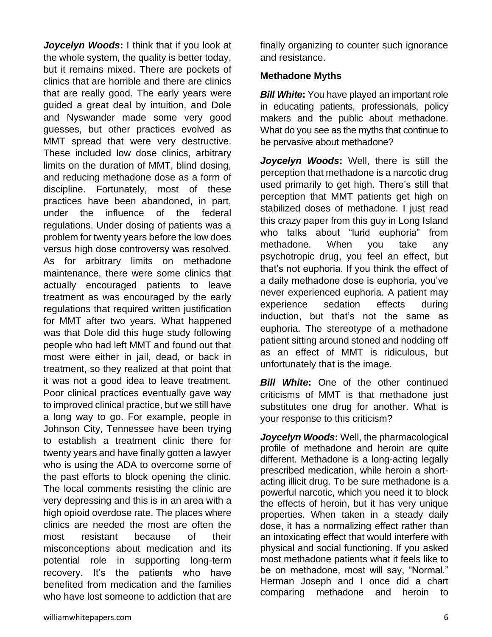*Joycelyn Woods***:** I think that if you look at the whole system, the quality is better today, but it remains mixed. There are pockets of clinics that are horrible and there are clinics that are really good. The early years were guided a great deal by intuition, and Dole and Nyswander made some very good guesses, but other practices evolved as MMT spread that were very destructive. These included low dose clinics, arbitrary limits on the duration of MMT, blind dosing, and reducing methadone dose as a form of discipline. Fortunately, most of these practices have been abandoned, in part, under the influence of the federal regulations. Under dosing of patients was a problem for twenty years before the low does versus high dose controversy was resolved. As for arbitrary limits on methadone maintenance, there were some clinics that actually encouraged patients to leave treatment as was encouraged by the early regulations that required written justification for MMT after two years. What happened was that Dole did this huge study following people who had left MMT and found out that most were either in jail, dead, or back in treatment, so they realized at that point that it was not a good idea to leave treatment. Poor clinical practices eventually gave way to improved clinical practice, but we still have a long way to go. For example, people in Johnson City, Tennessee have been trying to establish a treatment clinic there for twenty years and have finally gotten a lawyer who is using the ADA to overcome some of the past efforts to block opening the clinic. The local comments resisting the clinic are very depressing and this is in an area with a high opioid overdose rate. The places where clinics are needed the most are often the most resistant because of their misconceptions about medication and its potential role in supporting long-term recovery. It's the patients who have benefited from medication and the families who have lost someone to addiction that are

finally organizing to counter such ignorance and resistance.

#### **Methadone Myths**

*Bill White:* You have played an important role in educating patients, professionals, policy makers and the public about methadone. What do you see as the myths that continue to be pervasive about methadone?

*Joycelyn Woods***:** Well, there is still the perception that methadone is a narcotic drug used primarily to get high. There's still that perception that MMT patients get high on stabilized doses of methadone. I just read this crazy paper from this guy in Long Island who talks about "lurid euphoria" from methadone. When you take any psychotropic drug, you feel an effect, but that's not euphoria. If you think the effect of a daily methadone dose is euphoria, you've never experienced euphoria. A patient may experience sedation effects during induction, but that's not the same as euphoria. The stereotype of a methadone patient sitting around stoned and nodding off as an effect of MMT is ridiculous, but unfortunately that is the image.

*Bill White:* One of the other continued criticisms of MMT is that methadone just substitutes one drug for another. What is your response to this criticism?

*Joycelyn Woods***:** Well, the pharmacological profile of methadone and heroin are quite different. Methadone is a long-acting legally prescribed medication, while heroin a shortacting illicit drug. To be sure methadone is a powerful narcotic, which you need it to block the effects of heroin, but it has very unique properties. When taken in a steady daily dose, it has a normalizing effect rather than an intoxicating effect that would interfere with physical and social functioning. If you asked most methadone patients what it feels like to be on methadone, most will say, "Normal." Herman Joseph and I once did a chart comparing methadone and heroin to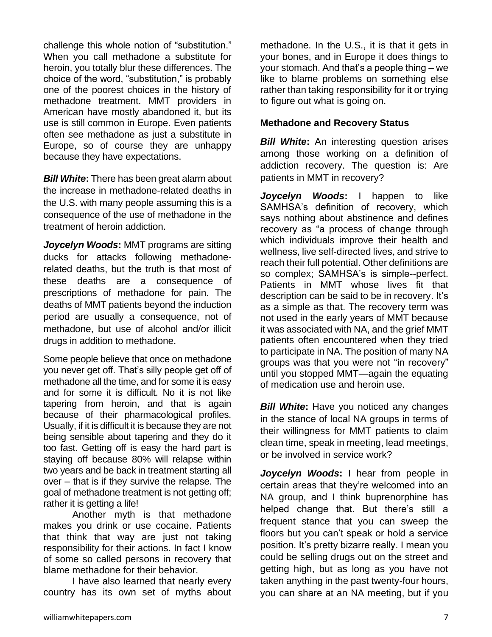challenge this whole notion of "substitution." When you call methadone a substitute for heroin, you totally blur these differences. The choice of the word, "substitution," is probably one of the poorest choices in the history of methadone treatment. MMT providers in American have mostly abandoned it, but its use is still common in Europe. Even patients often see methadone as just a substitute in Europe, so of course they are unhappy because they have expectations.

*Bill White***:** There has been great alarm about the increase in methadone-related deaths in the U.S. with many people assuming this is a consequence of the use of methadone in the treatment of heroin addiction.

*Joycelyn Woods***:** MMT programs are sitting ducks for attacks following methadonerelated deaths, but the truth is that most of these deaths are a consequence of prescriptions of methadone for pain. The deaths of MMT patients beyond the induction period are usually a consequence, not of methadone, but use of alcohol and/or illicit drugs in addition to methadone.

Some people believe that once on methadone you never get off. That's silly people get off of methadone all the time, and for some it is easy and for some it is difficult. No it is not like tapering from heroin, and that is again because of their pharmacological profiles. Usually, if it is difficult it is because they are not being sensible about tapering and they do it too fast. Getting off is easy the hard part is staying off because 80% will relapse within two years and be back in treatment starting all over – that is if they survive the relapse. The goal of methadone treatment is not getting off; rather it is getting a life!

Another myth is that methadone makes you drink or use cocaine. Patients that think that way are just not taking responsibility for their actions. In fact I know of some so called persons in recovery that blame methadone for their behavior.

I have also learned that nearly every country has its own set of myths about methadone. In the U.S., it is that it gets in your bones, and in Europe it does things to your stomach. And that's a people thing – we like to blame problems on something else rather than taking responsibility for it or trying to figure out what is going on.

## **Methadone and Recovery Status**

**Bill White:** An interesting question arises among those working on a definition of addiction recovery. The question is: Are patients in MMT in recovery?

*Joycelyn Woods***:** I happen to like SAMHSA's definition of recovery, which says nothing about abstinence and defines recovery as "a process of change through which individuals improve their health and wellness, live self-directed lives, and strive to reach their full potential. Other definitions are so complex; SAMHSA's is simple--perfect. Patients in MMT whose lives fit that description can be said to be in recovery. It's as a simple as that. The recovery term was not used in the early years of MMT because it was associated with NA, and the grief MMT patients often encountered when they tried to participate in NA. The position of many NA groups was that you were not "in recovery" until you stopped MMT—again the equating of medication use and heroin use.

*Bill White*: Have you noticed any changes in the stance of local NA groups in terms of their willingness for MMT patients to claim clean time, speak in meeting, lead meetings, or be involved in service work?

*Joycelyn Woods***:** I hear from people in certain areas that they're welcomed into an NA group, and I think buprenorphine has helped change that. But there's still a frequent stance that you can sweep the floors but you can't speak or hold a service position. It's pretty bizarre really. I mean you could be selling drugs out on the street and getting high, but as long as you have not taken anything in the past twenty-four hours, you can share at an NA meeting, but if you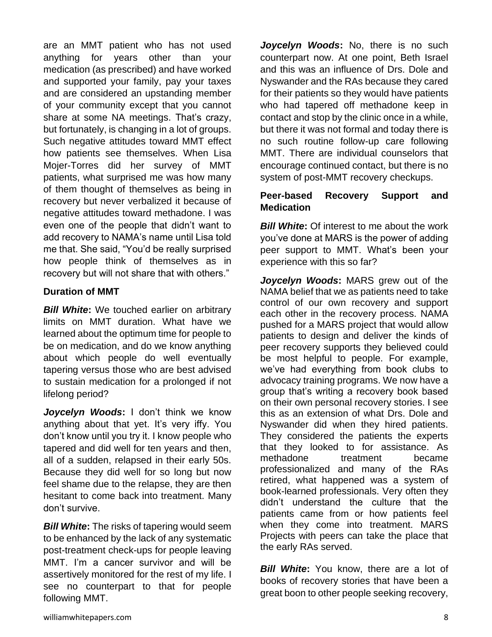are an MMT patient who has not used anything for years other than your medication (as prescribed) and have worked and supported your family, pay your taxes and are considered an upstanding member of your community except that you cannot share at some NA meetings. That's crazy, but fortunately, is changing in a lot of groups. Such negative attitudes toward MMT effect how patients see themselves. When Lisa Mojer-Torres did her survey of MMT patients, what surprised me was how many of them thought of themselves as being in recovery but never verbalized it because of negative attitudes toward methadone. I was even one of the people that didn't want to add recovery to NAMA's name until Lisa told me that. She said, "You'd be really surprised how people think of themselves as in recovery but will not share that with others."

### **Duration of MMT**

*Bill White***:** We touched earlier on arbitrary limits on MMT duration. What have we learned about the optimum time for people to be on medication, and do we know anything about which people do well eventually tapering versus those who are best advised to sustain medication for a prolonged if not lifelong period?

*Joycelyn Woods***:** I don't think we know anything about that yet. It's very iffy. You don't know until you try it. I know people who tapered and did well for ten years and then, all of a sudden, relapsed in their early 50s. Because they did well for so long but now feel shame due to the relapse, they are then hesitant to come back into treatment. Many don't survive.

**Bill White:** The risks of tapering would seem to be enhanced by the lack of any systematic post-treatment check-ups for people leaving MMT. I'm a cancer survivor and will be assertively monitored for the rest of my life. I see no counterpart to that for people following MMT.

*Joycelyn Woods***:** No, there is no such counterpart now. At one point, Beth Israel and this was an influence of Drs. Dole and Nyswander and the RAs because they cared for their patients so they would have patients who had tapered off methadone keep in contact and stop by the clinic once in a while, but there it was not formal and today there is no such routine follow-up care following MMT. There are individual counselors that encourage continued contact, but there is no system of post-MMT recovery checkups.

## **Peer-based Recovery Support and Medication**

*Bill White:* Of interest to me about the work you've done at MARS is the power of adding peer support to MMT. What's been your experience with this so far?

*Joycelyn Woods***:** MARS grew out of the NAMA belief that we as patients need to take control of our own recovery and support each other in the recovery process. NAMA pushed for a MARS project that would allow patients to design and deliver the kinds of peer recovery supports they believed could be most helpful to people. For example, we've had everything from book clubs to advocacy training programs. We now have a group that's writing a recovery book based on their own personal recovery stories. I see this as an extension of what Drs. Dole and Nyswander did when they hired patients. They considered the patients the experts that they looked to for assistance. As methadone treatment became professionalized and many of the RAs retired, what happened was a system of book-learned professionals. Very often they didn't understand the culture that the patients came from or how patients feel when they come into treatment. MARS Projects with peers can take the place that the early RAs served.

*Bill White*: You know, there are a lot of books of recovery stories that have been a great boon to other people seeking recovery,